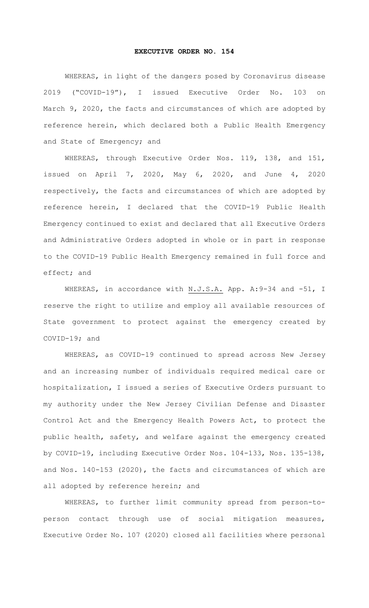## **EXECUTIVE ORDER NO. 154**

WHEREAS, in light of the dangers posed by Coronavirus disease 2019 ("COVID-19"), I issued Executive Order No. 103 on March 9, 2020, the facts and circumstances of which are adopted by reference herein, which declared both a Public Health Emergency and State of Emergency; and

WHEREAS, through Executive Order Nos. 119, 138, and 151, issued on April 7, 2020, May 6, 2020, and June 4, 2020 respectively, the facts and circumstances of which are adopted by reference herein, I declared that the COVID-19 Public Health Emergency continued to exist and declared that all Executive Orders and Administrative Orders adopted in whole or in part in response to the COVID-19 Public Health Emergency remained in full force and effect; and

WHEREAS, in accordance with N.J.S.A. App. A: 9-34 and -51, I reserve the right to utilize and employ all available resources of State government to protect against the emergency created by COVID-19; and

WHEREAS, as COVID-19 continued to spread across New Jersey and an increasing number of individuals required medical care or hospitalization, I issued a series of Executive Orders pursuant to my authority under the New Jersey Civilian Defense and Disaster Control Act and the Emergency Health Powers Act, to protect the public health, safety, and welfare against the emergency created by COVID-19, including Executive Order Nos. 104-133, Nos. 135-138, and Nos. 140-153 (2020), the facts and circumstances of which are all adopted by reference herein; and

WHEREAS, to further limit community spread from person-toperson contact through use of social mitigation measures, Executive Order No. 107 (2020) closed all facilities where personal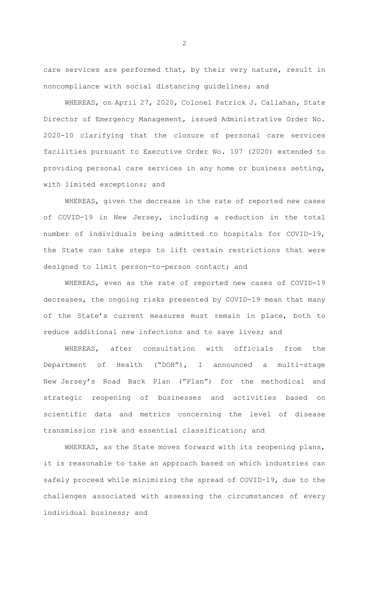care services are performed that, by their very nature, result in noncompliance with social distancing guidelines; and

WHEREAS, on April 27, 2020, Colonel Patrick J. Callahan, State Director of Emergency Management, issued Administrative Order No. 2020-10 clarifying that the closure of personal care services facilities pursuant to Executive Order No. 107 (2020) extended to providing personal care services in any home or business setting, with limited exceptions; and

WHEREAS, given the decrease in the rate of reported new cases of COVID-19 in New Jersey, including a reduction in the total number of individuals being admitted to hospitals for COVID-19, the State can take steps to lift certain restrictions that were designed to limit person-to-person contact; and

WHEREAS, even as the rate of reported new cases of COVID-19 decreases, the ongoing risks presented by COVID-19 mean that many of the State's current measures must remain in place, both to reduce additional new infections and to save lives; and

WHEREAS, after consultation with officials from the Department of Health ("DOH"), I announced a multi-stage New Jersey's Road Back Plan ("Plan") for the methodical and strategic reopening of businesses and activities based on scientific data and metrics concerning the level of disease transmission risk and essential classification; and

WHEREAS, as the State moves forward with its reopening plans, it is reasonable to take an approach based on which industries can safely proceed while minimizing the spread of COVID-19, due to the challenges associated with assessing the circumstances of every individual business; and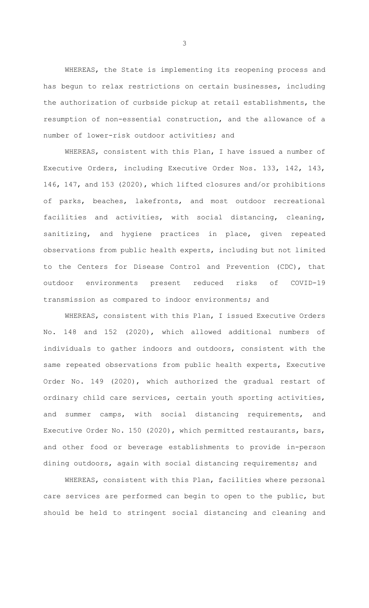WHEREAS, the State is implementing its reopening process and has begun to relax restrictions on certain businesses, including the authorization of curbside pickup at retail establishments, the resumption of non-essential construction, and the allowance of a number of lower-risk outdoor activities; and

WHEREAS, consistent with this Plan, I have issued a number of Executive Orders, including Executive Order Nos. 133, 142, 143, 146, 147, and 153 (2020), which lifted closures and/or prohibitions of parks, beaches, lakefronts, and most outdoor recreational facilities and activities, with social distancing, cleaning, sanitizing, and hygiene practices in place, given repeated observations from public health experts, including but not limited to the Centers for Disease Control and Prevention (CDC), that outdoor environments present reduced risks of COVID-19 transmission as compared to indoor environments; and

WHEREAS, consistent with this Plan, I issued Executive Orders No. 148 and 152 (2020), which allowed additional numbers of individuals to gather indoors and outdoors, consistent with the same repeated observations from public health experts, Executive Order No. 149 (2020), which authorized the gradual restart of ordinary child care services, certain youth sporting activities, and summer camps, with social distancing requirements, and Executive Order No. 150 (2020), which permitted restaurants, bars, and other food or beverage establishments to provide in-person dining outdoors, again with social distancing requirements; and

WHEREAS, consistent with this Plan, facilities where personal care services are performed can begin to open to the public, but should be held to stringent social distancing and cleaning and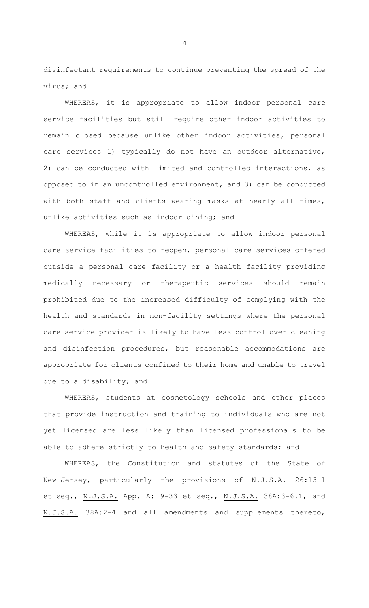disinfectant requirements to continue preventing the spread of the virus; and

WHEREAS, it is appropriate to allow indoor personal care service facilities but still require other indoor activities to remain closed because unlike other indoor activities, personal care services 1) typically do not have an outdoor alternative, 2) can be conducted with limited and controlled interactions, as opposed to in an uncontrolled environment, and 3) can be conducted with both staff and clients wearing masks at nearly all times, unlike activities such as indoor dining; and

WHEREAS, while it is appropriate to allow indoor personal care service facilities to reopen, personal care services offered outside a personal care facility or a health facility providing medically necessary or therapeutic services should remain prohibited due to the increased difficulty of complying with the health and standards in non-facility settings where the personal care service provider is likely to have less control over cleaning and disinfection procedures, but reasonable accommodations are appropriate for clients confined to their home and unable to travel due to a disability; and

WHEREAS, students at cosmetology schools and other places that provide instruction and training to individuals who are not yet licensed are less likely than licensed professionals to be able to adhere strictly to health and safety standards; and

WHEREAS, the Constitution and statutes of the State of New Jersey, particularly the provisions of N.J.S.A. 26:13-1 et seq., N.J.S.A. App. A: 9-33 et seq., N.J.S.A. 38A:3-6.1, and N.J.S.A. 38A:2-4 and all amendments and supplements thereto,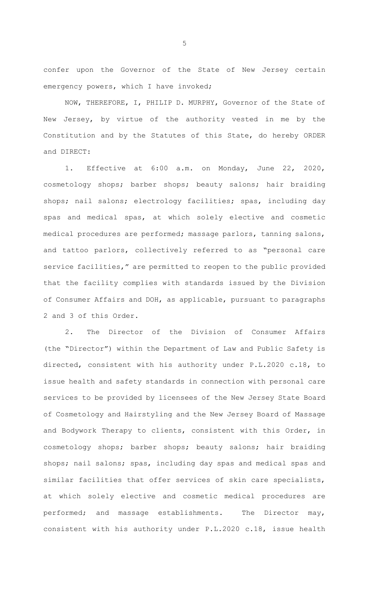confer upon the Governor of the State of New Jersey certain emergency powers, which I have invoked;

NOW, THEREFORE, I, PHILIP D. MURPHY, Governor of the State of New Jersey, by virtue of the authority vested in me by the Constitution and by the Statutes of this State, do hereby ORDER and DIRECT:

1. Effective at 6:00 a.m. on Monday, June 22, 2020, cosmetology shops; barber shops; beauty salons; hair braiding shops; nail salons; electrology facilities; spas, including day spas and medical spas, at which solely elective and cosmetic medical procedures are performed; massage parlors, tanning salons, and tattoo parlors, collectively referred to as "personal care service facilities," are permitted to reopen to the public provided that the facility complies with standards issued by the Division of Consumer Affairs and DOH, as applicable, pursuant to paragraphs 2 and 3 of this Order.

2. The Director of the Division of Consumer Affairs (the "Director") within the Department of Law and Public Safety is directed, consistent with his authority under P.L.2020 c.18, to issue health and safety standards in connection with personal care services to be provided by licensees of the New Jersey State Board of Cosmetology and Hairstyling and the New Jersey Board of Massage and Bodywork Therapy to clients, consistent with this Order, in cosmetology shops; barber shops; beauty salons; hair braiding shops; nail salons; spas, including day spas and medical spas and similar facilities that offer services of skin care specialists, at which solely elective and cosmetic medical procedures are performed; and massage establishments. The Director may, consistent with his authority under P.L.2020 c.18, issue health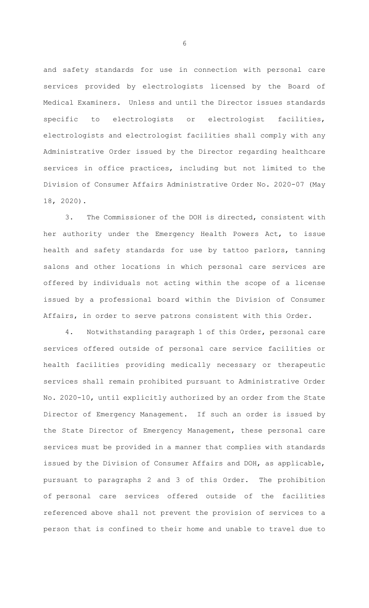and safety standards for use in connection with personal care services provided by electrologists licensed by the Board of Medical Examiners. Unless and until the Director issues standards specific to electrologists or electrologist facilities, electrologists and electrologist facilities shall comply with any Administrative Order issued by the Director regarding healthcare services in office practices, including but not limited to the Division of Consumer Affairs Administrative Order No. 2020-07 (May 18, 2020).

3. The Commissioner of the DOH is directed, consistent with her authority under the Emergency Health Powers Act, to issue health and safety standards for use by tattoo parlors, tanning salons and other locations in which personal care services are offered by individuals not acting within the scope of a license issued by a professional board within the Division of Consumer Affairs, in order to serve patrons consistent with this Order.

4. Notwithstanding paragraph 1 of this Order, personal care services offered outside of personal care service facilities or health facilities providing medically necessary or therapeutic services shall remain prohibited pursuant to Administrative Order No. 2020-10, until explicitly authorized by an order from the State Director of Emergency Management. If such an order is issued by the State Director of Emergency Management, these personal care services must be provided in a manner that complies with standards issued by the Division of Consumer Affairs and DOH, as applicable, pursuant to paragraphs 2 and 3 of this Order. The prohibition of personal care services offered outside of the facilities referenced above shall not prevent the provision of services to a person that is confined to their home and unable to travel due to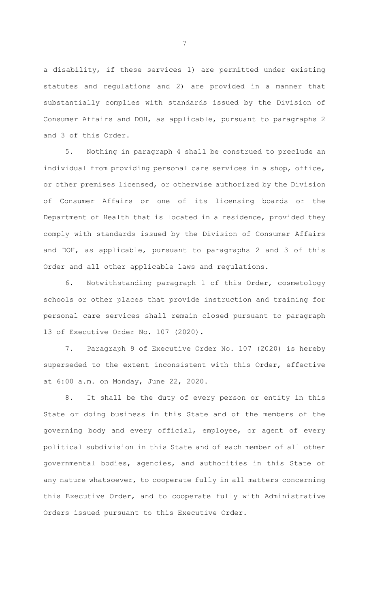a disability, if these services 1) are permitted under existing statutes and regulations and 2) are provided in a manner that substantially complies with standards issued by the Division of Consumer Affairs and DOH, as applicable, pursuant to paragraphs 2 and 3 of this Order.

5. Nothing in paragraph 4 shall be construed to preclude an individual from providing personal care services in a shop, office, or other premises licensed, or otherwise authorized by the Division of Consumer Affairs or one of its licensing boards or the Department of Health that is located in a residence, provided they comply with standards issued by the Division of Consumer Affairs and DOH, as applicable, pursuant to paragraphs 2 and 3 of this Order and all other applicable laws and regulations.

6. Notwithstanding paragraph 1 of this Order, cosmetology schools or other places that provide instruction and training for personal care services shall remain closed pursuant to paragraph 13 of Executive Order No. 107 (2020).

7. Paragraph 9 of Executive Order No. 107 (2020) is hereby superseded to the extent inconsistent with this Order, effective at 6:00 a.m. on Monday, June 22, 2020.

8. It shall be the duty of every person or entity in this State or doing business in this State and of the members of the governing body and every official, employee, or agent of every political subdivision in this State and of each member of all other governmental bodies, agencies, and authorities in this State of any nature whatsoever, to cooperate fully in all matters concerning this Executive Order, and to cooperate fully with Administrative Orders issued pursuant to this Executive Order.